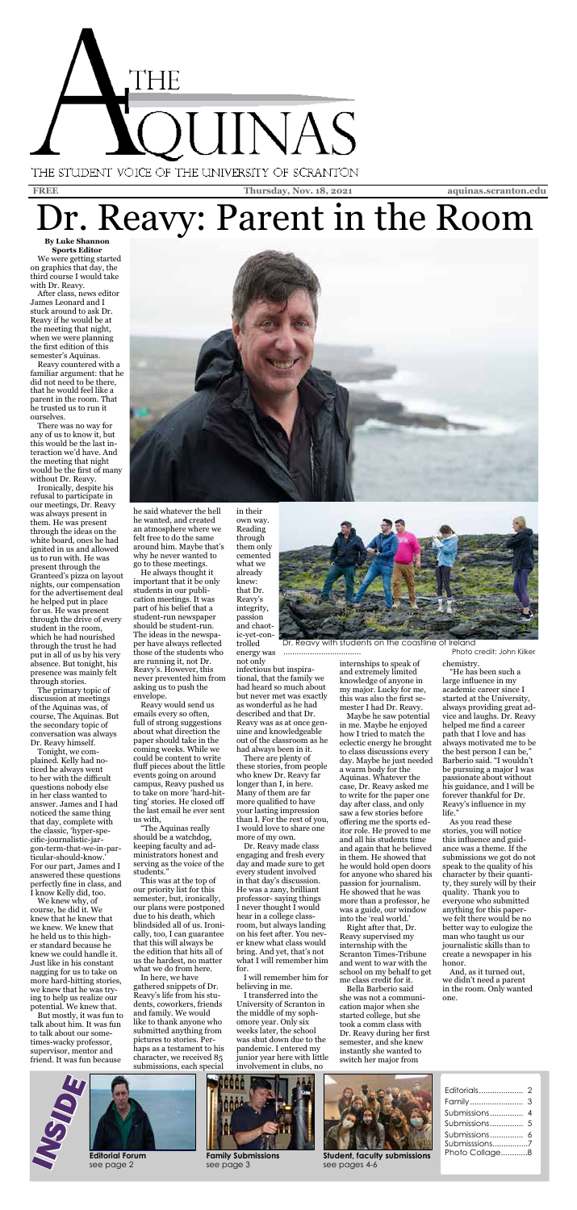

**FREE Thursday, Nov. 18, 2021 aquinas.scranton.edu**

**Sports Editor** We were getting started on graphics that day, the third course I would take with Dr. Reavy.

After class, news editor James Leonard and I stuck around to ask Dr. Reavy if he would be at the meeting that night, when we were planning the first edition of this semester's Aquinas.

Reavy countered with a familiar argument: that he did not need to be there, that he would feel like a parent in the room. That he trusted us to run it ourselves.

There was no way for any of us to know it, but this would be the last interaction we'd have. And the meeting that night would be the first of many without Dr. Reavy.

Ironically, despite his refusal to participate in our meetings, Dr. Reavy was always present in them. He was present through the ideas on the white board, ones he had ignited in us and allowed us to run with. He was present through the Granteed's pizza on layout nights, our compensation for the advertisement deal he helped put in place for us. He was present through the drive of every student in the room, which he had nourished through the trust he had put in all of us by his very absence. But tonight, his presence was mainly felt through stories.

The primary topic of discussion at meetings of the Aquinas was, of course, The Aquinas. But

the secondary topic of conversation was always Dr. Reavy himself.

Tonight, we complained. Kelly had noticed he always went to her with the difficult questions nobody else in her class wanted to answer. James and I had noticed the same thing that day, complete with the classic, 'hyper-specific-journalistic-jargon-term-that-we-in-particular-should-know.' For our part, James and I answered these questions perfectly fine in class, and I know Kelly did, too.

We knew why, of course, he did it. We knew that he knew that we knew. We knew that he held us to this higher standard because he knew we could handle it. Just like in his constant nagging for us to take on more hard-hitting stories, we knew that he was trying to help us realize our potential. We knew that.

But mostly, it was fun to talk about him. It was fun to talk about our sometimes-wacky professor, supervisor, mentor and friend. It was fun because

he said whatever the hell he wanted, and created an atmosphere where we felt free to do the same around him. Maybe that's why he never wanted to go to these meetings.

He always thought it important that it be only students in our publication meetings. It was part of his belief that a student-run newspaper should be student-run. The ideas in the newspaper have always reflected those of the students who are running it, not Dr. Reavy's. However, this never prevented him from asking us to push the envelope.

Reavy would send us emails every so often,

full of strong suggestions about what direction the paper should take in the coming weeks. While we could be content to write fluff pieces about the little events going on around campus, Reavy pushed us to take on more 'hard-hitting' stories. He closed off the last email he ever sent us with,

chemistry. Photo credit: John Kilker

"The Aquinas really should be a watchdog, keeping faculty and administrators honest and serving as the voice of the students."

This was at the top of our priority list for this semester, but, ironically, our plans were postponed due to his death, which blindsided all of us. Ironically, too, I can guarantee that this will always be the edition that hits all of us the hardest, no matter what we do from here.

## **By Luke Shannon** Dr. Reavy: Parent in the Room

In here, we have gathered snippets of Dr. Reavy's life from his students, coworkers, friends and family. We would like to thank anyone who submitted anything from pictures to stories. Perhaps as a testament to his character, we received 85 submissions, each special



Student, faculty submissions see pages 4-6

in their own way. Reading through them only cemented what we already knew: that Dr. Reavy's integrity, passion and chaotic-yet-controlled energy was not only

infectious but inspirational, that the family we had heard so much about but never met was exactly as wonderful as he had described and that Dr.

Reavy was as at once genuine and knowledgeable out of the classroom as he had always been in it.

There are plenty of these stories, from people who knew Dr. Reavy far longer than I, in here. Many of them are far more qualified to have your lasting impression than I. For the rest of you, I would love to share one more of my own.

Dr. Reavy made class engaging and fresh every day and made sure to get every student involved in that day's discussion. He was a zany, brilliant professor- saying things  $\overline{I}$  never thought  $\overline{I}$  would hear in a college classroom, but always landing on his feet after. You never knew what class would bring. And yet, that's not what I will remember him for.

I will remember him for believing in me.

I transferred into the University of Scranton in the middle of my sophomore year. Only six weeks later, the school was shut down due to the pandemic. I entered my junior year here with little involvement in clubs, no

internships to speak of and extremely limited knowledge of anyone in my major. Lucky for me, this was also the first semester I had Dr. Reavy.

Maybe he saw potential

in me. Maybe he enjoyed how I tried to match the eclectic energy he brought to class discussions every day. Maybe he just needed a warm body for the Aquinas. Whatever the case, Dr. Reavy asked me to write for the paper one day after class, and only saw a few stories before offering me the sports editor role. He proved to me and all his students time and again that he believed in them. He showed that he would hold open doors for anyone who shared his passion for journalism. He showed that he was more than a professor, he was a guide, our window into the 'real world.'

Right after that, Dr. Reavy supervised my internship with the Scranton Times-Tribune and went to war with the school on my behalf to get me class credit for it.

Bella Barberio said she was not a communication major when she started college, but she took a comm class with Dr. Reavy during her first semester, and she knew instantly she wanted to switch her major from

"He has been such a large influence in my academic career since I started at the University, always providing great advice and laughs. Dr. Reavy helped me find a career path that I love and has always motivated me to be the best person I can be," Barberio said. "I wouldn't be pursuing a major I was passionate about without his guidance, and I will be forever thankful for Dr. Reavy's influence in my life." As you read these stories, you will notice this influence and guidance was a theme. If the submissions we got do not speak to the quality of his character by their quantity, they surely will by their quality. Thank you to everyone who submitted anything for this paperwe felt there would be no better way to eulogize the man who taught us our journalistic skills than to create a newspaper in his honor.

And, as it turned out, we didn't need a parent in the room. Only wanted one.



Dr. Reavy with students on the coastline of Ireland

| Editorials 2                    |  |
|---------------------------------|--|
|                                 |  |
| Submissions 4                   |  |
| Submissions 5                   |  |
| Submissions 6                   |  |
| Submisssions7<br>Photo Collage8 |  |
|                                 |  |

INSIDE



**Editorial Forum** see page 2



**Family Submissions** see page 3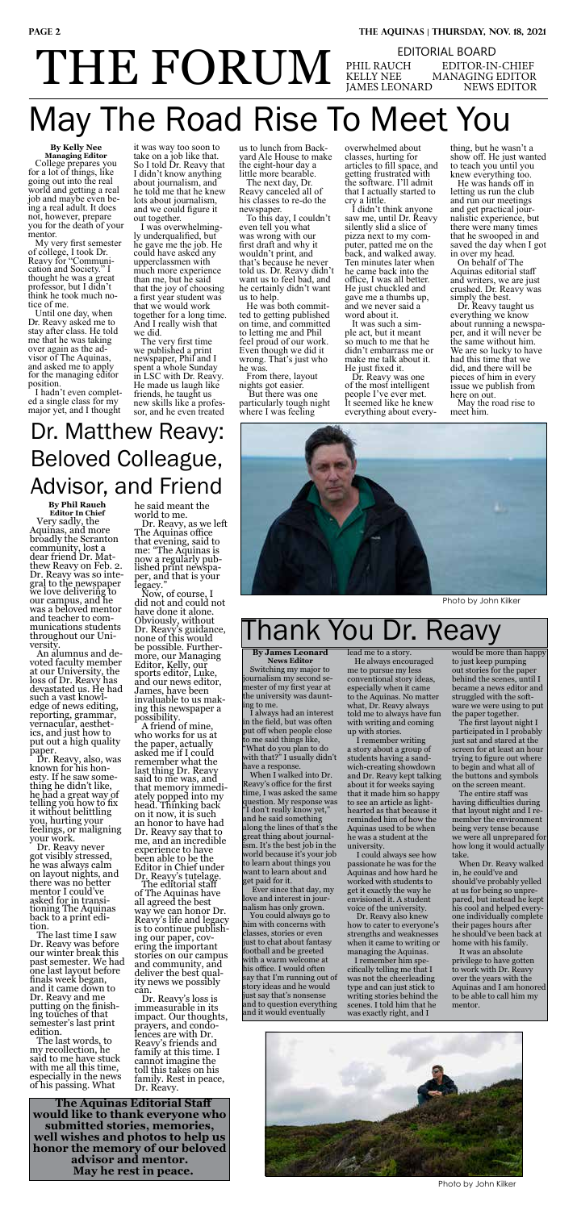**PAGE 2 THE AQUINAS | THURSDAY, NOV. 18, 2021**

**By Kelly Nee Managing Editor** College prepares you for a lot of things, like going out into the real world and getting a real job and maybe even be- ing a real adult. It does not, however, prepare you for the death of your

mentor. My very first semester of college, I took Dr. Reavy for "Communi- cation and Society." I cation and Society." I thought he was a great professor, but I didn't think he took much no- tice of me.

Until one day, when Dr. Reavy asked me to stay after class. He told me that he was taking<br>over again as the advisor of The Aquinas, and asked me to apply for the managing editor position.

out together.<br>I was overwhelmingly underqualified, but he gave me the job. He could have asked any upperclassmen with much more experience than me, but he said that the joy of choosing a first year student was that we would work together for a long time. And I really wish that we did.

I hadn't even complet- ed a single class for my major yet, and I thought it was way too soon to take on a job like that. So I told Dr. Reavy that I didn't know anything about journalism, and he told me that he knew lots about journalism, and we could figure it

I didn't think anyone saw me, until Dr. Reavy silently slid a slice of<br>pizza next to my computer, patted me on the back, and walked away. Ten minutes later when he came back into the office, I was all better. He just chuckled and gave me a thumbs up, and we never said a word about it.<br>It was such a sim-

ple act, but it meant so much to me that he didn't embarrass me or make me talk about it. He just fixed it.

The very first time we published a print newspaper, Phil and I spent a whole Sunday in LSC with Dr. Reavy. He made us laugh like friends, he taught us new skills like a profes- sor, and he even treated

Dr. Reavy was one of the most intelligent people I've ever met. It seemed like he knew everything about every-

us to lunch from Back- yard Ale House to make the eight-hour day a little more bearable.

The next day, Dr. Reavy canceled all of his classes to re-do the newspaper.

To this day, I couldn't even tell you what was wrong with our first draft and why it wouldn't print, and that's because he never told us. Dr. Reavy didn't want us to feel bad, and he certainly didn't want us to help.

### **THE FORUM EDITORIAL BOARD<br>
FORUM PHIL RAUCH EDITOR-IN-CHIEF<br>
IAMES LEONARD NEWS EDITOR** EDITOR-IN-CHIEF MANAGING EDITOR JAMES LEONARD May The Road Rise To Meet You

**By Phil Rauch Editor In Chief** Very sadly, the Aquinas, and more broadly the Scranton community, lost a dear friend Dr. Mat-<br>thew Reavy on Feb. 2. Dr. Reavy was so inte- gral to the newspaper we love delivering to our campus, and he was a beloved mentor munications students throughout our University.<br>An alumnus and deHe was both commit- ted to getting published on time, and committed to letting me and Phil feel proud of our work. Even though we did it wrong. That's just who he was.

From there, layout nights got easier.

 But there was one particularly tough night where I was feeling

overwhelmed about classes, hurting for articles to fill space, and getting frustrated with the software. I'll admit that I actually started to cry a little.

voted faculty member at our University, the loss of Dr. Reavy has devastated us. He had<br>such a vast knowledge of news editing, reporting, grammar, vernacular, aesthet-<br>ics, and just how to ics, and just how to<br>put out a high quality paper. Dr. Reavy, also, was known for his hon- esty. If he saw some- thing he didn't like, he had a great way of telling you how to fix it without belittling you, hurting your feelings, or maligning your work. Dr. Reavy never got visibly stressed, he was always calm on layout nights, and there was no better mentor I could've<br>asked for in transitioning The Aquinas back to a print edi- tion. The last time I saw Dr. Reavy was before our winter break this past semester. We had one last layout before finals week began, and it came down to Dr. Reavy and me putting on the finish-<br>ing touches of that semester's last print edition. The last words, to my recollection, he said to me have stuck with me all this time, especially in the news of his passing. What

thing, but he wasn't a show off. He just wanted to teach you until you knew everything too.

He was hands off in letting us run the club and run our meetings<br>and get practical journalistic experience, but there were many times that he swooped in and saved the day when I got in over my head.

On behalf of The Aquinas editorial staff and writers, we are just crushed. Dr. Reavy was simply the best.

Dr. Reavy taught us everything we know about running a newspa- per, and it will never be the same without him. We are so lucky to have had this time that we did, and there will be pieces of him in every issue we publish from here on out.

May the road rise to meet him.

Photo by John Kilker

## ank You Dr. Reavy

he said meant the world to me.

Dr. Reavy, as we left The Aquinas office that evening, said to me: "The Aquinas is now a regularly pub- lished print newspa- per, and that is your legacy."

Now, of course, I did not and could not have done it alone. Obviously, without Dr. Reavy's guidance, none of this would be possible. Further- more, our Managing Editor, Kelly, our sports editor, Luke, and our news editor, James, have been<br>invaluable to us making this newspaper a possibility. A friend of mine, who works for us at the paper, actually asked me if I could remember what the last thing Dr. Reavy said to me was, and that memory immedi- ately popped into my head. Thinking back on it now, it is such an honor to have had Dr. Reavy say that to me, and an incredible experience to have been able to be the Editor in Chief under Dr. Reavy's tutelage. The editorial staff of The Aquinas have all agreed the best way we can honor Dr. Reavy's life and legacy is to continue publish- ing our paper, cov- ering the important stories on our campus and community, and deliver the best qual- ity news we possibly can. Dr. Reavy's loss is immeasurable in its impact. Our thoughts, prayers, and condo- lences are with Dr. Reavy's friends and family at this time. I cannot imagine the toll this takes on his family. Rest in peace, Dr. Reavy.

## Dr. Matthew Reavy: Beloved Colleague, Advisor, and Friend

#### **By James Leonard News Editor**

Switching my major to journalism my second semester of my first year at the university was daunting to me.

I always had an interest in the field, but was often put off when people close to me said things like, "What do you plan to do with that?" I usually didn't have a response. When I walked into Dr. Reavy's office for the first time, I was asked the same question. My response was "I don't really know yet," and he said something along the lines of that's the great thing about journalism. It's the best job in the world because it's your job to learn about things you want to learn about and get paid for it. Ever since that day, my love and interest in journalism has only grown. You could always go to him with concerns with classes, stories or even just to chat about fantasy football and be greeted with a warm welcome at his office. I would often say that I'm running out of story ideas and he would just say that's nonsense and to question everything and it would eventually

lead me to a story. He always encouraged me to pursue my less conventional story ideas, especially when it came to the Aquinas. No matter what, Dr. Reavy always told me to always have fun

with writing and coming up with stories.

 I remember writing a story about a group of students having a sandwich-creating showdown and Dr. Reavy kept talking about it for weeks saying that it made him so happy to see an article as lighthearted as that because it reminded him of how the Aquinas used to be when he was a student at the university.

 I could always see how passionate he was for the Aquinas and how hard he worked with students to get it exactly the way he envisioned it. A student voice of the university.

 Dr. Reavy also knew how to cater to everyone's strengths and weaknesses when it came to writing or managing the Aquinas.

I remember him specifically telling me that I was not the cheerleading type and can just stick to writing stories behind the scenes. I told him that he was exactly right, and I

would be more than happy to just keep pumping out stories for the paper behind the scenes, until I became a news editor and struggled with the software we were using to put the paper together. The first layout night I participated in I probably just sat and stared at the screen for at least an hour trying to figure out where to begin and what all of the buttons and symbols on the screen meant. The entire staff was having difficulties during that layout night and I remember the environment being very tense because we were all unprepared for how long it would actually take. When Dr. Reavy walked in, he could've and should've probably yelled at us for being so unprepared, but instead he kept his cool and helped everyone individually complete their pages hours after he should've been back at home with his family. It was an absolute privilege to have gotten to work with Dr. Reavy over the years with the Aquinas and I am honored to be able to call him my mentor.

**The Aquinas Editorial Staff would like to thank everyone who submitted stories, memories, well wishes and photos to help us honor the memory of our beloved advisor and mentor. May he rest in peace.**



Photo by John Kilker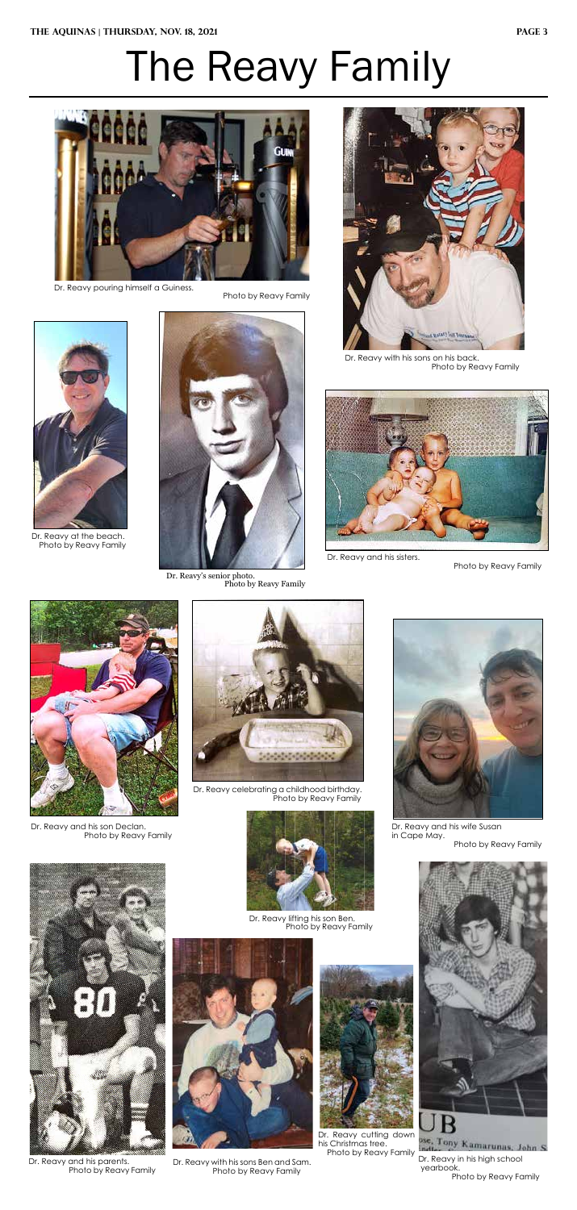## The Reavy Family



Dr. Reavy pouring himself a Guiness.

Photo by Reavy Family



Dr. Reavy with his sons on his back. Photo by Reavy Family



Dr. Reavy at the beach. Photo by Reavy Family



Dr. Reavy and his sisters.

Photo by Reavy Family









Dr. Reavy's senior photo. Photo by Reavy Family



Dr. Reavy and his son Declan. Photo by Reavy Family



Dr. Reavy celebrating a childhood birthday. Photo by Reavy Family



Dr. Reavy lifting his son Ben. Photo by Reavy Family



Dr. Reavy and his parents. Photo by Reavy Family



Dr. Reavy with his sons Ben and Sam. Photo by Reavy Family

Dr. Reavy and his wife Susan in Cape May. Photo by Reavy Family



 yearbook. Photo by Reavy Family



his Christmas tree.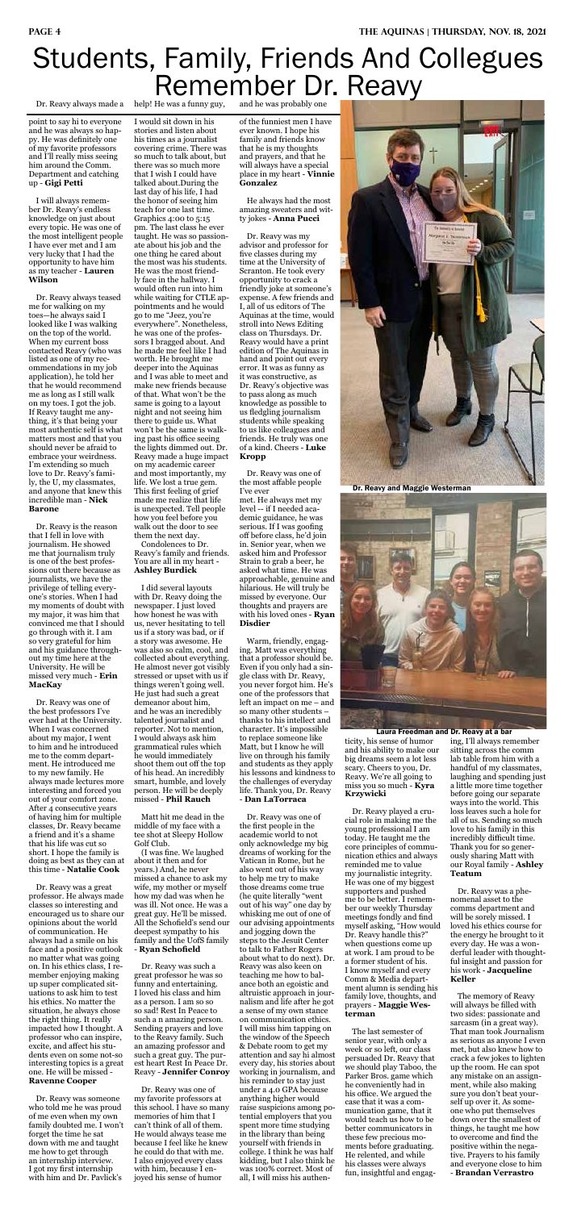point to say hi to everyone and he was always so happy. He was definitely one of my favorite professors and I'll really miss seeing him around the Comm. Department and catching up - **Gigi Petti**

I will always remember Dr. Reavy's endless knowledge on just about every topic. He was one of the most intelligent people I have ever met and I am very lucky that I had the opportunity to have him as my teacher - **Lauren Wilson**

Dr. Reavy always teased me for walking on my toes—he always said I looked like I was walking on the top of the world. When my current boss contacted Reavy (who was listed as one of my recommendations in my job application), he told her that he would recommend me as long as I still walk on my toes. I got the job. If Reavy taught me anything, it's that being your most authentic self is what matters most and that you should never be afraid to embrace your weirdness. I'm extending so much love to Dr. Reavy's family, the U, my classmates, and anyone that knew this incredible man - **Nick Barone**

Dr. Reavy is the reason that I fell in love with journalism. He showed me that journalism truly is one of the best professions out there because as journalists, we have the privilege of telling everyone's stories. When I had my moments of doubt with my major, it was him that convinced me that I should go through with it. I am so very grateful for him and his guidance throughout my time here at the University. He will be missed very much - **Erin MacKay**

Dr. Reavy always made a help! He was a funny guy,

Dr. Reavy was one of the best professors I've ever had at the University. When I was concerned about my major, I went to him and he introduced me to the comm department. He introduced me to my new family. He always made lectures more interesting and forced you out of your comfort zone. After 4 consecutive years of having him for multiple classes, Dr. Reavy became a friend and it's a shame that his life was cut so short. I hope the family is doing as best as they can at this time - **Natalie Cook**

Dr. Reavy was a great professor. He always made classes so interesting and encouraged us to share our opinions about the world of communication. He always had a smile on his face and a positive outlook no matter what was going on. In his ethics class, I remember enjoying making up super complicated situations to ask him to test his ethics. No matter the situation, he always chose the right thing. It really impacted how I thought. A professor who can inspire, excite, and affect his students even on some not-so interesting topics is a great one. He will be missed - **Ravenne Cooper**

Dr. Reavy was someone who told me he was proud of me even when my own family doubted me. I won't forget the time he sat down with me and taught me how to get through an internship interview. I got my first internship with him and Dr. Pavlick's

I would sit down in his stories and listen about his times as a journalist covering crime. There was so much to talk about, but there was so much more that I wish I could have talked about.During the last day of his life, I had the honor of seeing him teach for one last time. Graphics 4:00 to 5:15 pm. The last class he ever taught. He was so passionate about his job and the one thing he cared about the most was his students. He was the most friendly face in the hallway. I would often run into him while waiting for CTLE appointments and he would go to me "Jeez, you're everywhere". Nonetheless, he was one of the professors I bragged about. And he made me feel like I had worth. He brought me deeper into the Aquinas and I was able to meet and make new friends because of that. What won't be the same is going to a layout night and not seeing him there to guide us. What won't be the same is walking past his office seeing the lights dimmed out. Dr. Reavy made a huge impact on my academic career and most importantly, my life. We lost a true gem. This first feeling of grief made me realize that life is unexpected. Tell people how you feel before you walk out the door to see

them the next day. Condolences to Dr. Reavy's family and friends. You are all in my heart - **Ashley Burdick**

I did several layouts with Dr. Reavy doing the newspaper. I just loved how honest he was with us, never hesitating to tell us if a story was bad, or if a story was awesome. He was also so calm, cool, and collected about everything. He almost never got visibly stressed or upset with us if things weren't going well. He just had such a great demeanor about him, and he was an incredibly talented journalist and reporter. Not to mention, I would always ask him grammatical rules which he would immediately shoot them out off the top of his head. An incredibly smart, humble, and lovely person. He will be deeply missed - **Phil Rauch**

Matt hit me dead in the middle of my face with a tee shot at Sleepy Hollow Golf Club.

(I was fine. We laughed about it then and for years.) And, he never missed a chance to ask my wife, my mother or myself how my dad was when he was ill. Not once. He was a great guy. He'll be missed. All the Schofield's send our deepest sympathy to his family and the UofS family

#### - **Ryan Schofield**

Dr. Reavy was such a great professor he was so funny and entertaining. I loved his class and him as a person. I am so so so sad! Rest In Peace to such a n amazing person. Sending prayers and love to the Reavy family. Such an amazing professor and such a great guy. The purest heart Rest In Peace Dr. Reavy - **Jennifer Conroy**

Dr. Reavy was one of my favorite professors at this school. I have so many memories of him that I can't think of all of them. He would always tease me because I feel like he knew he could do that with me. I also enjoyed every class with him, because I enjoyed his sense of humor

and he was probably one

of the funniest men I have ever known. I hope his family and friends know that he is my thoughts and prayers, and that he will always have a special place in my heart - **Vinnie Gonzalez** 

He always had the most amazing sweaters and witty jokes - **Anna Pucci**

Dr. Reavy was my advisor and professor for five classes during my time at the University of Scranton. He took every opportunity to crack a friendly joke at someone's expense. A few friends and I, all of us editors of The Aquinas at the time, would stroll into News Editing class on Thursdays. Dr. Reavy would have a print edition of The Aquinas in hand and point out every error. It was as funny as it was constructive, as Dr. Reavy's objective was to pass along as much knowledge as possible to us fledgling journalism students while speaking to us like colleagues and friends. He truly was one of a kind. Cheers - **Luke Kropp**

Dr. Reavy was one of the most affable people I've ever

met. He always met my level -- if I needed academic guidance, he was serious. If I was goofing off before class, he'd join in. Senior year, when we asked him and Professor Strain to grab a beer, he asked what time. He was approachable, genuine and hilarious. He will truly be missed by everyone. Our thoughts and prayers are with his loved ones - **Ryan Disdier**

Warm, friendly, engaging. Matt was everything that a professor should be. Even if you only had a single class with Dr. Reavy, you never forgot him. He's one of the professors that left an impact on me – and so many other students – thanks to his intellect and character. It's impossible to replace someone like Matt, but I know he will live on through his family and students as they apply his lessons and kindness to the challenges of everyday life. Thank you, Dr. Reavy - **Dan LaTorraca**



Dr. Reavy was one of the first people in the academic world to not only acknowledge my big dreams of working for the Vatican in Rome, but he also went out of his way to help me try to make those dreams come true (he quite literally "went out of his way" one day by whisking me out of one of our advising appointments and jogging down the steps to the Jesuit Center to talk to Father Rogers about what to do next). Dr. Reavy was also keen on teaching me how to balance both an egoistic and altruistic approach in journalism and life after he got a sense of my own stance on communication ethics. I will miss him tapping on the window of the Speech & Debate room to get my attention and say hi almost every day, his stories about working in journalism, and his reminder to stay just under a 4.0 GPA because anything higher would raise suspicions among potential employers that you spent more time studying in the library than being yourself with friends in college. I think he was half kidding, but I also think he was 100% correct. Most of all, I will miss his authenticity, his sense of humor and his ability to make our big dreams seem a lot less scary. Cheers to you, Dr. Reavy. We're all going to miss you so much - **Kyra Krzywicki**

Dr. Reavy played a crucial role in making me the young professional I am today. He taught me the core principles of communication ethics and always reminded me to value my journalistic integrity. He was one of my biggest supporters and pushed me to be better. I remember our weekly Thursday meetings fondly and find myself asking, "How would Dr. Reavy handle this?" when questions come up at work. I am proud to be a former student of his. I know myself and every Comm & Media department alumn is sending his family love, thoughts, and prayers - **Maggie Westerman** 

The last semester of senior year, with only a week or so left, our class persuaded Dr. Reavy that we should play Taboo, the Parker Bros. game which he conveniently had in his office. We argued the case that it was a communication game, that it would teach us how to be better communicators in these few precious moments before graduating. He relented, and while his classes were always fun, insightful and engaging, I'll always remember sitting across the comm lab table from him with a handful of my classmates, laughing and spending just a little more time together before going our separate ways into the world. This loss leaves such a hole for all of us. Sending so much love to his family in this incredibly difficult time. Thank you for so generously sharing Matt with our Royal family - **Ashley Teatum**

Dr. Reavy was a phenomenal asset to the comms department and will be sorely missed. I loved his ethics course for the energy he brought to it every day. He was a wonderful leader with thoughtful insight and passion for his work - **Jacqueline Keller**

The memory of Reavy will always be filled with two sides: passionate and sarcasm (in a great way). That man took Journalism as serious as anyone I even met, but also knew how to crack a few jokes to lighten up the room. He can spot any mistake on an assignment, while also making sure you don't beat yourself up over it. As someone who put themselves down over the smallest of things, he taught me how to overcome and find the positive within the negative. Prayers to his family and everyone close to him - **Brandan Verrastro**

Dr. Reavy and Maggie Westerman



#### Laura Freedman and Dr. Reavy at a bar

## Students, Family, Friends And Collegues Remember Dr. Reavy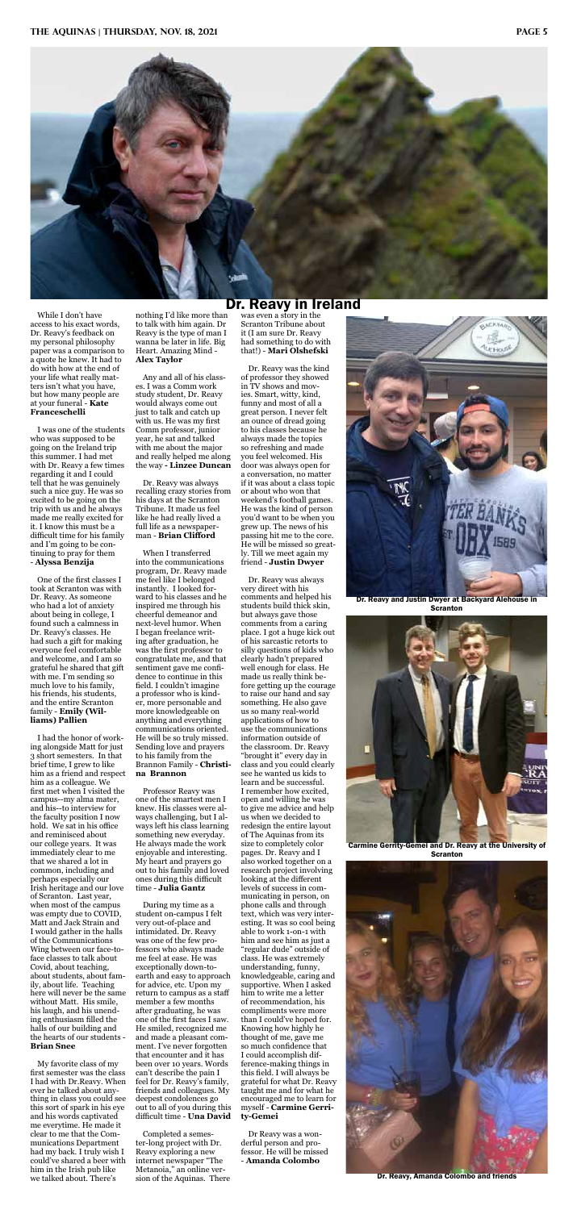

access to his exact words, Dr. Reavy's feedback on my personal philosophy paper was a comparison to a quote he knew. It had to do with how at the end of your life what really matters isn't what you have, but how many people are at your funeral - **Kate Franceschelli**

I was one of the students who was supposed to be going on the Ireland trip this summer. I had met with Dr. Reavy a few times regarding it and I could tell that he was genuinely such a nice guy. He was so excited to be going on the trip with us and he always made me really excited for it. I know this must be a difficult time for his family and I'm going to be continuing to pray for them - **Alyssa Benzija**

One of the first classes I took at Scranton was with Dr. Reavy. As someone who had a lot of anxiety about being in college, I found such a calmness in Dr. Reavy's classes. He had such a gift for making everyone feel comfortable and welcome, and I am so grateful he shared that gift with me. I'm sending so much love to his family, his friends, his students, and the entire Scranton family - **Emily (Wil-**

#### **liams) Pallien**

I had the honor of working alongside Matt for just 3 short semesters. In that brief time, I grew to like him as a friend and respect him as a colleague. We first met when I visited the campus--my alma mater, and his--to interview for the faculty position I now hold. We sat in his office and reminisced about our college years. It was immediately clear to me that we shared a lot in common, including and perhaps especially our Irish heritage and our love of Scranton. Last year, when most of the campus was empty due to COVID, Matt and Jack Strain and I would gather in the halls of the Communications Wing between our face-toface classes to talk about Covid, about teaching, about students, about family, about life. Teaching here will never be the same without Matt. His smile, his laugh, and his unending enthusiasm filled the halls of our building and the hearts of our students - **Brian Snee**

My favorite class of my first semester was the class I had with Dr.Reavy. When ever he talked about anything in class you could see this sort of spark in his eye and his words captivated me everytime. He made it clear to me that the Communications Department had my back. I truly wish I could've shared a beer with him in the Irish pub like we talked about. There's

nothing I'd like more than to talk with him again. Dr Reavy is the type of man I wanna be later in life. Big Heart. Amazing Mind - **Alex Taylor**

Any and all of his classes. I was a Comm work study student, Dr. Reavy would always come out just to talk and catch up with us. He was my first Comm professor, junior year, he sat and talked with me about the major and really helped me along the way **- Linzee Duncan**

Dr. Reavy was always recalling crazy stories from his days at the Scranton Tribune. It made us feel like he had really lived a full life as a newspaperman - **Brian Clifford**

When I transferred into the communications program, Dr. Reavy made me feel like I belonged instantly. I looked forward to his classes and he inspired me through his cheerful demeanor and next-level humor. When I began freelance writing after graduation, he was the first professor to congratulate me, and that sentiment gave me confidence to continue in this field. I couldn't imagine a professor who is kinder, more personable and more knowledgeable on anything and everything communications oriented. He will be so truly missed. Sending love and prayers to his family from the Brannon Family - **Christina Brannon**

## While I don't have mothing I'd like more than was even a story in the



Dr. Reavy and Justin Dwyer at Backyard Alehouse in **Scranton** 



Professor Reavy was one of the smartest men I knew. His classes were always challenging, but I always left his class learning something new everyday. He always made the work enjoyable and interesting. My heart and prayers go out to his family and loved ones during this difficult time - **Julia Gantz**

During my time as a student on-campus I felt very out-of-place and intimidated. Dr. Reavy was one of the few professors who always made me feel at ease. He was exceptionally down-toearth and easy to approach for advice, etc. Upon my return to campus as a staff member a few months after graduating, he was one of the first faces I saw. He smiled, recognized me and made a pleasant comment. I've never forgotten that encounter and it has been over 10 years. Words can't describe the pain I feel for Dr. Reavy's family, friends and colleagues. My deepest condolences go out to all of you during this difficult time - **Una David**

Completed a semester-long project with Dr. Reavy exploring a new internet newspaper "The Metanoia," an online version of the Aquinas. There was even a story in the Scranton Tribune about it (I am sure Dr. Reavy had something to do with that!) - **Mari Olshefski**

Dr. Reavy was the kind of professor they showed in TV shows and movies. Smart, witty, kind, funny and most of all a great person. I never felt an ounce of dread going to his classes because he always made the topics so refreshing and made you feel welcomed. His door was always open for a conversation, no matter if it was about a class topic or about who won that weekend's football games. He was the kind of person you'd want to be when you grew up. The news of his passing hit me to the core. He will be missed so greatly. Till we meet again my friend - **Justin Dwyer** 

Dr. Reavy was always very direct with his comments and helped his students build thick skin, but always gave those comments from a caring place. I got a huge kick out of his sarcastic retorts to silly questions of kids who clearly hadn't prepared well enough for class. He made us really think before getting up the courage to raise our hand and say something. He also gave us so many real-world applications of how to use the communications information outside of the classroom. Dr. Reavy "brought it" every day in class and you could clearly see he wanted us kids to learn and be successful. I remember how excited, open and willing he was to give me advice and help us when we decided to redesign the entire layout of The Aquinas from its size to completely color pages. Dr. Reavy and I also worked together on a research project involving looking at the different levels of success in communicating in person, on phone calls and through text, which was very interesting. It was so cool being able to work 1-on-1 with him and see him as just a "regular dude" outside of class. He was extremely understanding, funny, knowledgeable, caring and supportive. When I asked him to write me a letter of recommendation, his compliments were more than I could've hoped for. Knowing how highly he thought of me, gave me so much confidence that I could accomplish difference-making things in this field. I will always be grateful for what Dr. Reavy taught me and for what he encouraged me to learn for myself - **Carmine Gerrity-Gemei** 

Dr Reavy was a wonderful person and professor. He will be missed - **Amanda Colombo** 

Carmine Gerrity-Gemei and Dr. Reavy at the University of Scranton



Dr. Reavy, Amanda Colombo and friends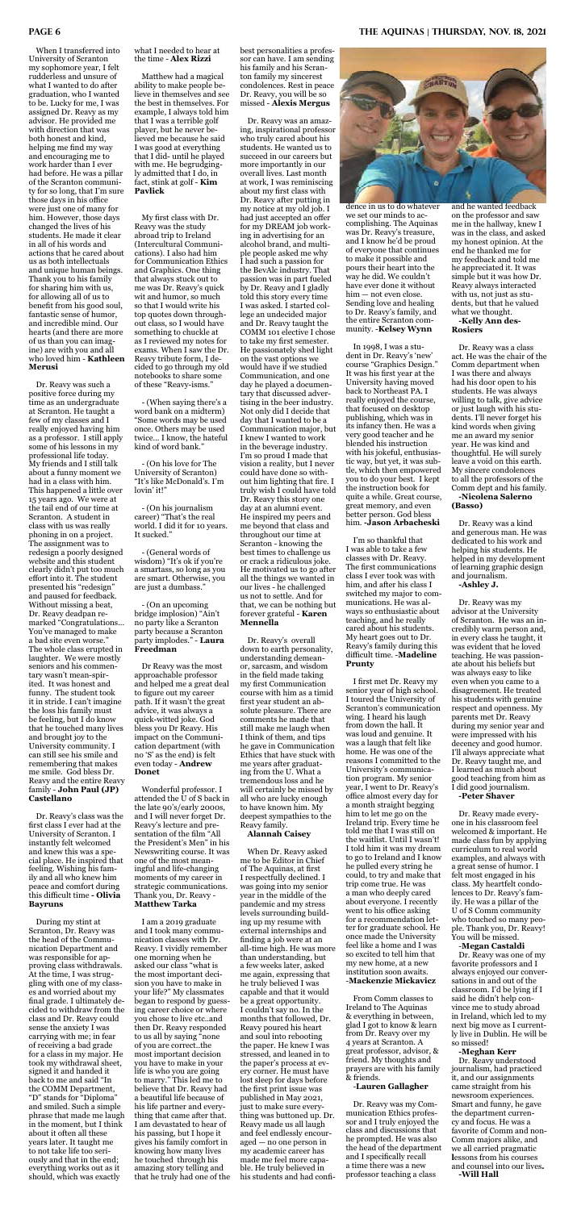#### **PAGE 6 THE AQUINAS | THURSDAY, NOV. 18, 2021**

When I transferred into University of Scranton my sophomore year, I felt rudderless and unsure of what I wanted to do after graduation, who I wanted to be. Lucky for me, I was assigned Dr. Reavy as my advisor. He provided me with direction that was both honest and kind, helping me find my way and encouraging me to work harder than I ever had before. He was a pillar of the Scranton community for so long, that I'm sure those days in his office were just one of many for him. However, those days changed the lives of his students. He made it clear in all of his words and actions that he cared about us as both intellectuals and unique human beings. Thank you to his family for sharing him with us, for allowing all of us to benefit from his good soul, fantastic sense of humor, and incredible mind. Our hearts (and there are more of us than you can imagine) are with you and all who loved him - **Kathleen Merusi**

Dr. Reavy was such a positive force during my time as an undergraduate at Scranton. He taught a few of my classes and I really enjoyed having him as a professor. I still apply some of his lessons in my professional life today. My friends and I still talk about a funny moment we had in a class with him. This happened a little over 15 years ago. We were at the tail end of our time at Scranton. A student in class with us was really phoning in on a project. The assignment was to redesign a poorly designed website and this student clearly didn't put too much effort into it. The student presented his "redesign" and paused for feedback. Without missing a beat, Dr. Reavy deadpan remarked "Congratulations... You've managed to make a bad site even worse." The whole class erupted in laughter. We were mostly seniors and his commentary wasn't mean-spirited. It was honest and funny. The student took it in stride. I can't imagine the loss his family must be feeling, but I do know that he touched many lives and brought joy to the University community. I can still see his smile and remembering that makes me smile. God bless Dr. Reavy and the entire Reavy family - **John Paul (JP) Castellano**

Dr. Reavy's class was the first class I ever had at the University of Scranton. I instantly felt welcomed and knew this was a special place. He inspired that feeling. Wishing his family and all who knew him peace and comfort during this difficult time **- Olivia Bayruns**

During my stint at Scranton, Dr. Reavy was the head of the Communication Department and was responsible for approving class withdrawals. At the time, I was struggling with one of my classes and worried about my final grade. I ultimately decided to withdraw from the class and Dr. Reavy could sense the anxiety I was carrying with me; in fear of receiving a bad grade for a class in my major. He took my withdrawal sheet, signed it and handed it back to me and said "In the COMM Department, "D" stands for "Diploma" and smiled. Such a simple phrase that made me laugh in the moment, but I think about it often all these years later. It taught me to not take life too seriously and that in the end; everything works out as it should, which was exactly

#### what I needed to hear at the time - **Alex Rizzi**

Matthew had a magical ability to make people believe in themselves and see the best in themselves. For example, I always told him that I was a terrible golf player, but he never believed me because he said I was good at everything that I did- until he played with me. He begrudgingly admitted that I do, in fact, stink at golf - **Kim Pavlick**

My first class with Dr. Reavy was the study abroad trip to Ireland (Intercultural Communications). I also had him for Communication Ethics and Graphics. One thing that always stuck out to me was Dr. Reavy's quick wit and humor, so much so that I would write his top quotes down throughout class, so I would have something to chuckle at as I reviewed my notes for exams. When I saw the Dr. Reavy tribute form, I decided to go through my old notebooks to share some of these "Reavy-isms."

- (When saying there's a word bank on a midterm) "Some words may be used once. Others may be used twice... I know, the hateful kind of word bank."

- (On his love for The University of Scranton) "It's like McDonald's. I'm lovin' it!"

- (On his journalism career) "That's the real world. I did it for 10 years. It sucked."

- (General words of wisdom) "It's ok if you're a smartass, so long as you are smart. Otherwise, you are just a dumbass."

- (On an upcoming bridge implosion) "Ain't no party like a Scranton party because a Scranton party implodes." - **Laura Freedman** 

Dr Reavy was the most approachable professor and helped me a great deal to figure out my career path. If it wasn't the great advice, it was always a quick-witted joke. God bless you Dr Reavy. His impact on the Communication department (with no 'S' as the end) is felt even today - **Andrew Donet** 

Wonderful professor. I attended the U of S back in the late 90's/early 2000s, and I will never forget Dr. Reavy's lecture and presentation of the film "All the President's Men" in his Newswriting course. It was one of the most meaningful and life-changing moments of my career in strategic communications. Thank you, Dr. Reavy - **Matthew Tarka** 

I am a 2019 graduate and I took many communication classes with Dr. Reavy. I vividly remember one morning when he asked our class "what is the most important decision you have to make in your life?" My classmates began to respond by guessing career choice or where you chose to live etc..and then Dr. Reavy responded to us all by saying "none of you are correct..the most important decision you have to make in your life is who you are going to marry." This led me to believe that Dr. Reavy had a beautiful life because of his life partner and everything that came after that. I am devastated to hear of his passing, but I hope it gives his family comfort in knowing how many lives he touched through his amazing story telling and that he truly had one of the

best personalities a professor can have. I am sending his family and his Scranton family my sincerest condolences. Rest in peace Dr. Reavy, you will be so missed - **Alexis Mergus** 

Dr. Reavy was an amazing, inspirational professor who truly cared about his students. He wanted us to succeed in our careers but more importantly in our overall lives. Last month at work, I was reminiscing about my first class with Dr. Reavy after putting in my notice at my old job. I had just accepted an offer for my DREAM job working in advertising for an alcohol brand, and multiple people asked me why I had such a passion for the BevAlc industry. That passion was in part fueled by Dr. Reavy and I gladly told this story every time I was asked. I started college an undecided major and Dr. Reavy taught the COMM 101 elective I chose to take my first semester. He passionately shed light on the vast options we would have if we studied Communication, and one day he played a documentary that discussed advertising in the beer industry. Not only did I decide that day that I wanted to be a Communication major, but I knew I wanted to work in the beverage industry. I'm so proud I made that vision a reality, but I never could have done so without him lighting that fire. I truly wish I could have told Dr. Reavy this story one day at an alumni event. He inspired my peers and me beyond that class and throughout our time at Scranton - knowing the best times to challenge us or crack a ridiculous joke. He motivated us to go after all the things we wanted in our lives - he challenged us not to settle. And for that, we can be nothing but forever grateful - **Karen Mennella**

Dr. Reavy's overall down to earth personality, understanding demeanor, sarcasm, and wisdom in the field made taking my first Communication course with him as a timid first year student an absolute pleasure. There are comments he made that still make me laugh when I think of them, and tips he gave in Communication Ethics that have stuck with me years after graduating from the U. What a tremendous loss and he will certainly be missed by all who are lucky enough to have known him. My deepest sympathies to the Reavy family.



#### **Alannah Caisey**

When Dr. Reavy asked me to be Editor in Chief of The Aquinas, at first I respectfully declined. I was going into my senior year in the middle of the pandemic and my stress levels surrounding building up my resume with external internships and finding a job were at an all-time high. He was more than understanding, but a few weeks later, asked me again, expressing that he truly believed I was capable and that it would be a great opportunity. I couldn't say no. In the months that followed, Dr. Reavy poured his heart and soul into rebooting the paper. He knew I was stressed, and leaned in to the paper's process at every corner. He must have lost sleep for days before the first print issue was published in May 2021, just to make sure everything was buttoned up. Dr. Reavy made us all laugh and feel endlessly encouraged — no one person in my academic career has made me feel more capable. He truly believed in his students and had confi-

dence in us to do whatever we set our minds to accomplishing. The Aquinas was Dr. Reavy's treasure, and I know he'd be proud of everyone that continues to make it possible and pours their heart into the way he did. We couldn't have ever done it without him — not even close. Sending love and healing to Dr. Reavy's family, and the entire Scranton community. -**Kelsey Wynn**

In 1998, I was a student in Dr. Reavy's 'new' course "Graphics Design." It was his first year at the University having moved back to Northeast PA. I really enjoyed the course, that focused on desktop publishing, which was in its infancy then. He was a very good teacher and he blended his instruction with his jokeful, enthusiastic way, but yet, it was subtle, which then empowered you to do your best. I kept the instruction book for quite a while. Great course, great memory, and even better person. God bless him. **-Jason Arbacheski**

I'm so thankful that I was able to take a few classes with Dr. Reavy. The first communications class I ever took was with him, and after his class I switched my major to communications. He was always so enthusiastic about teaching, and he really cared about his students. My heart goes out to Dr. Reavy's family during this difficult time. -**Madeline Prunty**

I first met Dr. Reavy my senior year of high school. I toured the University of Scranton's communication wing. I heard his laugh from down the hall. It was loud and genuine. It was a laugh that felt like home. He was one of the reasons I committed to the University's communication program. My senior year, I went to Dr. Reavy's office almost every day for a month straight begging him to let me go on the Ireland trip. Every time he told me that I was still on the waitlist. Until I wasn't! I told him it was my dream to go to Ireland and I know he pulled every string he could, to try and make that trip come true. He was a man who deeply cared about everyone. I recently went to his office asking for a recommendation letter for graduate school. He once made the University feel like a home and I was so excited to tell him that my new home, at a new institution soon awaits. -**Mackenzie Mickavicz**

From Comm classes to Ireland to The Aquinas & everything in between, glad I got to know & learn from Dr. Reavy over my 4 years at Scranton. A great professor, advisor, & friend. My thoughts and prayers are with his family & friends.

#### -**Lauren Gallagher**

Dr. Reavy was my Communication Ethics professor and I truly enjoyed the class and discussions that he prompted. He was also the head of the department and I specifically recall a time there was a new professor teaching a class

and he wanted feedback on the professor and saw me in the hallway, knew I was in the class, and asked my honest opinion. At the end he thanked me for my feedback and told me he appreciated it. It was simple but it was how Dr. Reavy always interacted with us, not just as students, but that he valued what we thought.

#### **-Kelly Ann des-Rosiers**

Dr. Reavy was a class act. He was the chair of the Comm department when I was there and always had his door open to his students. He was always willing to talk, give advice or just laugh with his students. I'll never forget his kind words when giving me an award my senior year. He was kind and thoughtful. He will surely leave a void on this earth. My sincere condolences to all the professors of the Comm dept and his family. **-Nicolena Salerno** 

#### **(Basso)**

Dr. Reavy was a kind and generous man. He was dedicated to his work and helping his students. He helped in my development of learning graphic design and journalism. **-Ashley J.** 

Dr. Reavy was my advisor at the University of Scranton. He was an incredibly warm person and, in every class he taught, it was evident that he loved teaching. He was passionate about his beliefs but was always easy to like even when you came to a disagreement. He treated his students with genuine respect and openness. My parents met Dr. Reavy during my senior year and were impressed with his decency and good humor. I'll always appreciate what Dr. Reavy taught me, and I learned as much about good teaching from him as I did good journalism.

#### **-Peter Shaver**

Dr. Reavy made everyone in his classroom feel welcomed & important. He made class fun by applying curriculum to real world examples, and always with a great sense of humor. I felt most engaged in his class. My heartfelt condolences to Dr. Reavy's family. He was a pillar of the U of S Comm community who touched so many people. Thank you, Dr. Reavy! You will be missed.

#### -**Megan Castaldi**

Dr. Reavy was one of my favorite professors and I always enjoyed our conversations in and out of the classroom. I'd be lying if I said he didn't help convince me to study abroad in Ireland, which led to my next big move as I currently live in Dublin. He will be so missed!

#### **-Meghan Kerr**

Dr. Reavy understood journalism, had practiced it, and our assignments came straight from his newsroom experiences. Smart and funny, he gave the department currency and focus. He was a favorite of Comm and non-Comm majors alike, and we all carried pragmatic **l**essons from his courses and counsel into our lives**. -Will Hall**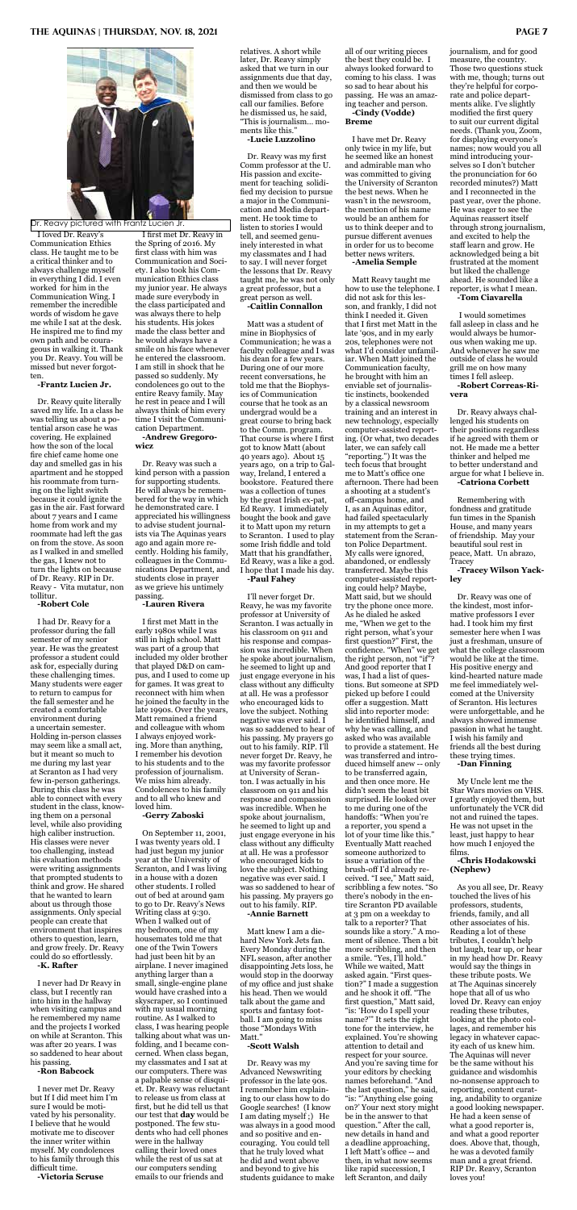I loved Dr. Reavy's Communication Ethics class. He taught me to be a critical thinker and to always challenge myself in everything I did. I even worked for him in the Communication Wing. I remember the incredible words of wisdom he gave me while I sat at the desk. He inspired me to find my own path and be courageous in walking it. Thank you Dr. Reavy. You will be missed but never forgotten.

#### **-Frantz Lucien Jr.**

Dr. Reavy quite literally saved my life. In a class he was telling us about a potential arson case he was covering. He explained how the son of the local fire chief came home one day and smelled gas in his apartment and he stopped his roommate from turning on the light switch because it could ignite the gas in the air. Fast forward about 7 years and I came home from work and my roommate had left the gas on from the stove. As soon as I walked in and smelled the gas, I knew not to turn the lights on because of Dr. Reavy. RIP in Dr. Reavy - Vita mutatur, non tollitur.

#### **-Robert Cole**

I had Dr. Reavy for a professor during the fall semester of my senior year. He was the greatest professor a student could ask for, especially during these challenging times. Many students were eager to return to campus for the fall semester and he created a comfortable environment during a uncertain semester. Holding in-person classes may seem like a small act, but it meant so much to me during my last year at Scranton as I had very few in-person gatherings. During this class he was able to connect with every student in the class, knowing them on a personal level, while also providing high caliber instruction. His classes were never too challenging, instead his evaluation methods were writing assignments that prompted students to think and grow. He shared that he wanted to learn about us through those assignments. Only special people can create that environment that inspires others to question, learn, and grow freely. Dr. Reavy could do so effortlessly.

#### **-K. Rafter**

I never had Dr Reavy in class, but I recently ran into him in the hallway when visiting campus and he remembered my name and the projects I worked on while at Scranton. This was after 20 years. I was so saddened to hear about his passing.

#### **-Ron Babcock**

I never met Dr. Reavy but If I did meet him I'm sure I would be motivated by his personality. I believe that he would motivate me to discover the inner writer within myself. My condolences to his family through this difficult time.

**-Victoria Scruse**

I first met Dr. Reavy in the Spring of 2016. My first class with him was Communication and Society. I also took his Communication Ethics class my junior year. He always made sure everybody in the class participated and was always there to help his students. His jokes made the class better and he would always have a smile on his face whenever he entered the classroom. I am still in shock that he passed so suddenly. My condolences go out to the entire Reavy family. May he rest in peace and I will always think of him every time I visit the Communication Department.

#### **-Andrew Gregorowicz**

Dr. Reavy was such a kind person with a passion for supporting students. He will always be remembered for the way in which he demonstrated care. I appreciated his willingness to advise student journalists via The Aquinas years ago and again more recently. Holding his family, colleagues in the Communications Department, and students close in prayer as we grieve his untimely passing.

#### **-Lauren Rivera**

I first met Matt in the early 1980s while I was still in high school. Matt was part of a group that included my older brother that played D&D on campus, and I used to come up for games. It was great to reconnect with him when he joined the faculty in the late 1990s. Over the years, Matt remained a friend and colleague with whom I always enjoyed working. More than anything, I remember his devotion to his students and to the profession of journalism. We miss him already. Condolences to his family and to all who knew and loved him.

#### **-Gerry Zaboski**

On September 11, 2001, I was twenty years old. I had just begun my junior year at the University of Scranton, and I was living in a house with a dozen other students. I rolled out of bed at around 9am to go to Dr. Reavy's News Writing class at 9:30. When I walked out of my bedroom, one of my housemates told me that one of the Twin Towers had just been hit by an airplane. I never imagined anything larger than a small, single-engine plane would have crashed into a skyscraper, so I continued with my usual morning routine. As I walked to class, I was hearing people talking about what was unfolding, and I became concerned. When class began, my classmates and I sat at our computers. There was a palpable sense of disquiet. Dr. Reavy was reluctant to release us from class at first, but he did tell us that our test that **day** would be postponed. The few students who had cell phones were in the hallway calling their loved ones while the rest of us sat at our computers sending emails to our friends and

relatives. A short while later, Dr. Reavy simply asked that we turn in our assignments due that day, and then we would be dismissed from class to go call our families. Before he dismissed us, he said, "This is journalism… moments like this."

#### **-Lucie Luzzolino**

Dr. Reavy was my first Comm professor at the U. His passion and excitement for teaching solidified my decision to pursue a major in the Communication and Media department. He took time to listen to stories I would tell, and seemed genuinely interested in what my classmates and I had to say. I will never forget the lessons that Dr. Reavy taught me, he was not only a great professor, but a great person as well. **-Caitlin Connallon**

Matt was a student of mine in Biophysics of Communication; he was a faculty colleague and I was his dean for a few years. During one of our more recent conversations, he told me that the Biophysics of Communication course that he took as an undergrad would be a great course to bring back to the Comm. program. That course is where I first got to know Matt (about 40 years ago). About 15 years ago, on a trip to Galway, Ireland, I entered a bookstore. Featured there was a collection of tunes by the great Irish ex-pat, Ed Reavy. I immediately bought the book and gave it to Matt upon my return to Scranton. I used to play some Irish fiddle and told Matt that his grandfather, Ed Reavy, was a like a god. I hope that I made his day. **-Paul Fahey**

I'll never forget Dr. Reavy, he was my favorite professor at University of Scranton. I was actually in his classroom on 911 and his response and compassion was incredible. When he spoke about journalism, he seemed to light up and just engage everyone in his class without any difficulty at all. He was a professor who encouraged kids to love the subject. Nothing negative was ever said. I was so saddened to hear of his passing. My prayers go out to his family. RIP. I'll never forget Dr. Reavy, he was my favorite professor at University of Scranton. I was actually in his classroom on 911 and his response and compassion was incredible. When he spoke about journalism, he seemed to light up and just engage everyone in his class without any difficulty at all. He was a professor who encouraged kids to love the subject. Nothing negative was ever said. I was so saddened to hear of his passing. My prayers go out to his family. RIP. **-Annie Barnett** 

Matt knew I am a diehard New York Jets fan. Every Monday during the NFL season, after another disappointing Jets loss, he would stop in the doorway of my office and just shake his head. Then we would talk about the game and sports and fantasy football. I am going to miss those "Mondays With Matt."

#### **-Scott Walsh**

Dr. Reavy was my Advanced Newswriting professor in the late 90s. I remember him explaining to our class how to do Google searches! (I know I am dating myself ;) He was always in a good mood and so positive and encouraging. You could tell that he truly loved what he did and went above and beyond to give his students guidance to make all of our writing pieces the best they could be. I always looked forward to coming to his class. I was so sad to hear about his passing. He was an amazing teacher and person. **-Cindy (Vodde) Breme**

I have met Dr. Reavy only twice in my life, but he seemed like an honest and admirable man who was committed to giving the University of Scranton the best news. When he wasn't in the newsroom, the mention of his name would be an anthem for us to think deeper and to pursue different avenues in order for us to become better news writers. **-Amelia Semple**

Matt Reavy taught me how to use the telephone. I did not ask for this lesson, and frankly, I did not think I needed it. Given that I first met Matt in the late '90s, and in my early 20s, telephones were not what I'd consider unfamiliar. When Matt joined the Communication faculty, he brought with him an enviable set of journalistic instincts, bookended by a classical newsroom training and an interest in new technology, especially computer-assisted reporting. (Or what, two decades later, we can safely call "reporting.") It was the tech focus that brought me to Matt's office one afternoon. There had been a shooting at a student's off-campus home, and I, as an Aquinas editor, had failed spectacularly in my attempts to get a statement from the Scranton Police Department. My calls were ignored, abandoned, or endlessly transferred. Maybe this computer-assisted reporting could help? Maybe, Matt said, but we should try the phone once more. As he dialed he asked me, "When we get to the right person, what's your first question?" First, the confidence. "When" we get the right person, not "if"? And good reporter that I was, I had a list of questions. But someone at SPD picked up before I could offer a suggestion. Matt slid into reporter mode: he identified himself, and why he was calling, and asked who was available to provide a statement. He was transferred and introduced himself anew -- only to be transferred again, and then once more. He didn't seem the least bit surprised. He looked over to me during one of the handoffs: "When you're a reporter, you spend a lot of your time like this." Eventually Matt reached someone authorized to issue a variation of the brush-off I'd already received. "I see," Matt said, scribbling a few notes. "So there's nobody in the entire Scranton PD available at 3 pm on a weekday to talk to a reporter? That sounds like a story." A moment of silence. Then a bit more scribbling, and then a smile. "Yes, I'll hold." While we waited, Matt asked again. "First question?" I made a suggestion and he shook it off. "The first question," Matt said, "is: 'How do I spell your name?'" It sets the right tone for the interview, he explained. You're showing attention to detail and respect for your source. And you're saving time for your editors by checking names beforehand. "And the last question," he said, "is: "Anything else going on?' Your next story might be in the answer to that question." After the call, new details in hand and a deadline approaching, I left Matt's office -- and then, in what now seems like rapid succession, I left Scranton, and daily

journalism, and for good measure, the country. Those two questions stuck with me, though; turns out they're helpful for corporate and police departments alike. I've slightly modified the first query to suit our current digital needs. (Thank you, Zoom, for displaying everyone's names; now would you all mind introducing yourselves so I don't butcher the pronunciation for 60 recorded minutes?) Matt and I reconnected in the past year, over the phone. He was eager to see the Aquinas reassert itself through strong journalism, and excited to help the staff learn and grow. He acknowledged being a bit frustrated at the moment but liked the challenge ahead. He sounded like a reporter, is what I mean. **-Tom Ciavarella** 

 I would sometimes fall asleep in class and he would always be humorous when waking me up. And whenever he saw me outside of class he would grill me on how many times I fell asleep.

#### **-Robert Correas-Rivera**

Dr. Reavy always challenged his students on their positions regardless if he agreed with them or not. He made me a better thinker and helped me to better understand and argue for what I believe in. **-Catriona Corbett**

Remembering with fondness and gratitude fun times in the Spanish House, and many years of friendship. May your beautiful soul rest in peace, Matt. Un abrazo, Tracey

#### **-Tracey Wilson Yackley**

Dr. Reavy was one of the kindest, most informative professors I ever had. I took him my first semester here when I was just a freshman, unsure of what the college classroom would be like at the time. His positive energy and kind-hearted nature made me feel immediately welcomed at the University of Scranton. His lectures were unforgettable, and he always showed immense passion in what he taught. I wish his family and friends all the best during these trying times.

#### **-Dan Finning**

My Uncle lent me the Star Wars movies on VHS. I greatly enjoyed them, but unfortunately the VCR did not and ruined the tapes. He was not upset in the least, just happy to hear how much I enjoyed the films.

#### **-Chris Hodakowski (Nephew)**

As you all see, Dr. Reavy touched the lives of his professors, students, friends, family, and all other associates of his. Reading a lot of these tributes, I couldn't help but laugh, tear up, or hear in my head how Dr. Reavy would say the things in these tribute posts. We at The Aquinas sincerely hope that all of us who loved Dr. Reavy can enjoy reading these tributes, looking at the photo collages, and remember his legacy in whatever capacity each of us knew him. The Aquinas will never be the same without his guidance and wisdomhis no-nonsense approach to reporting, content curating, andability to organize a good looking newspaper. He had a keen sense of what a good reporter is, and what a good reporter does. Above that, though, he was a devoted family man and a great friend. RIP Dr. Reavy, Scranton loves you!



Dr. Reavy pictured with Frantz Lucien Jr.